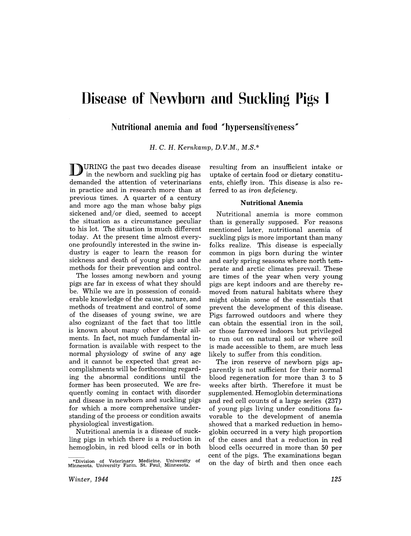# **Disease of Newborn and Suckling Pigs I**

**Nutritional anemia and food "hypersensitiveness"** 

H. C. H. *Kernkamp, D.V.M., M.S.\** 

D URING the past two decades disease in the newborn and suckling pig has demanded the attention of veterinarians in practice and in research more than at previous times. A quarter of a century and more ago the man whose baby pigs sickened and/or died, seemed to accept the situation as a circumstance peculiar to his lot. The situation is much different today. At the present time almost everyone profoundly interested in the swine industry is eager to learn the reason for sickness and death of young pigs and the methods for their prevention and control.

The losses among newborn and young pigs are far in excess of what they should be. While we are in possession of considerable knowledge of the cause, nature, and methods of treatment and control of some of the diseases of young swine, we are also cognizant of the fact that too little is known about many other of their ailments. In fact, not much fundamental information is available with respect to the normal physiology of swine of any age and it cannot be expected that great accomplishments will be forthcoming regarding the abnormal conditions until the former has been prosecuted. We are frequently coming in contact with disorder and disease in newborn and suckling pigs for which a more comprehensive understanding of the process or condition awaits physiological investigation.

Nutritional anemia is a disease of suckling pigs in which there is a reduction in hemoglobin, in red blood cells or in both

resulting from an insufficient intake or uptake of certain food or dietary constituents, chiefly iron. This disease is also referred to as *iron deficiency.* 

### **Nutritional Anemia**

Nutritional anemia is more common than is generally supposed. For reasons mentioned later, nutritional anemia of suckling pigs is more important than many folks realize. This disease is especially common in pigs born during the winter and early spring seasons where north temperate and arctic climates prevail. These are times of the year when very young pigs are kept indoors and are thereby removed from natural habitats where they might obtain some of the essentials that prevent the development of this disease. Pigs farrowed outdoors and where they can obtain the essential iron in the soil, or those farrowed indoors but privileged to run out on natural soil or where soil is made accessible to them, are much less likely to suffer from this condition.

The iron reserve of newborn pigs apparently is not sufficient for their normal blood regeneration for more than 3 to 5 weeks after birth. Therefore it must be supplemented. Hemoglobin determinations and red cell counts of a large series (237) of young pigs living under conditions favorable to the development of anemia showed that a marked reduction in hemoglobin occurred in a very high proportion of the cases and that a reduction in red blood cells occurred in more than 50 per cent of the pigs. The examinations began on the day of birth and then once each

<sup>\*</sup>Division of Veterinary Medicine, University of Minnesota, University Farm, St. Paul, Minnesota,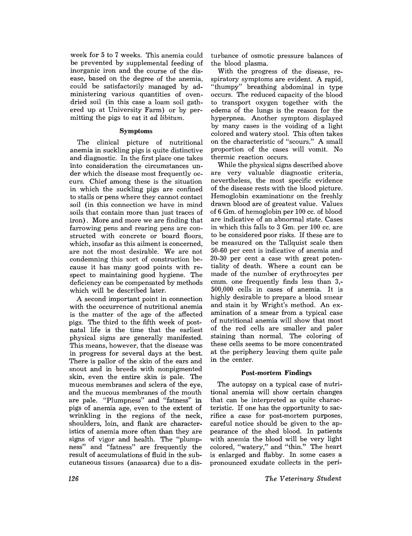week for 5 to 7 weeks. This anemia could be prevented by supplemental feeding of inorganic iron and the course of the disease, based on the degree of the anemia, could be satisfactorily managed by administering various quantities of ovendried soil (in this case a loam soil gathered up at University Farm) or by permitting the pigs to eat it *ad libitum.* 

## Symptoms

The clinical picture of nutritional anemia in suckling pigs is quite distinctive and diagnostic. In the first place one takes into consideration the circumstances under which the disease most frequently occurs. Chief among these is the situation in which the suckling pigs are confined to stalls or pens where they cannot contact soil. (in this connection we have in mind soils that contain more than just traces of iron). More and more we are finding that farrowing pens and rearing pens are constructed with concrete or board floors, which, insofar as this ailment is concerned, are not the most desirable. We are not condemning this sort of construction because it has many good points with respect to maintaining good hygiene. The deficiency can be compensated by methods which will be described later.

A second important point in connection with the occurrence of nutritional anemia is the matter of the age of the affected pigs. The third to the fifth week of postnatal life is the time that the earliest physical signs are generally manifested. This means, however, that the disease was in progress for several days at the best. There is pallor of the skin of the ears and snout and in breeds with nonpigmented skin, even the entire skin is pale. The mucous membranes and sclera of the eye, and the mucous membranes of the mouth are pale. "Plumpness" and "fatness" in pigs of anemia age, even to the extent of wrinkling in the regions of the neck, shoulders, loin, and flank are characteristics of anemia more often than they are signs of vigor and health. The "plumpness" and "fatness" are frequently the result of accumulations of fluid in the subcutaneous tissues (anasarca) due to a disturbance of osmotic pressure balances of the blood plasma.

With the progress of the disease, respiratory symptoms are evident. A rapid, "thumpy" breathing abdominal in type occurs. The reduced capacity of the blood to transport oxygen together with the edema of the lungs is the reason for the hyperpnea. Another symptom displayed by many cases is the voiding of a light colored and watery stool. This often takes on the characteristic of "scours." A small proportion of the cases will vomit. No thermic reaction occurs.

While the physical signs described above are very valuable diagnostic criteria, nevertheless, the most specific evidence of the disease rests with the blood picture. Hemoglobin examinations on the freshly drawn blood are of greatest value. Values of 6 Gm. of hemoglobin per 100 cc. of blood are indicative of an abnormal state. Cases in which this falls to 3 Gm. per 100 cc. are to be considered poor risks. If these are to be measured on the Tallquist scale then 50-60 per cent is indicative of anemia and 20-30 per cent a case with great potentiality of death. Where a count can be made of the number of erythrocytes per cmm. one frequently finds less than 3,- 500,000 cells in cases of anemia. It is highly desirable to prepare a blood smear and stain it by Wright's method. An examination of a smear from a typical case of nutritional anemia will show that most of the red cells are smaller and paler staining than normal. The coloring of these cells seems to be more concentrated at the periphery leaving them quite pale in the center.

## Post-mortem **Findings**

The autopsy on a typical case of nutritional anemia will show certain changes that can be interpreted as quite characteristic. If one has the opportunity to sacrifice a case for post-mortem purposes, careful notice should be given to the appearance of the shed blood. In patients with anemia the blood will be very light colored, "watery," and "thin." The heart is enlarged and flabby. In some cases a pronounced exudate collects in the peri-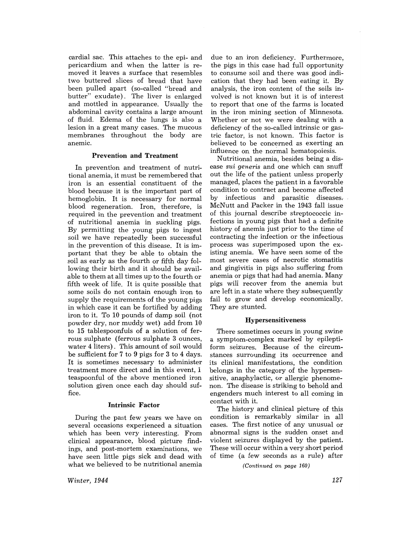cardial sac. This attaches to the epi- and pericardium and when the latter is removed it leaves a surface that resembles two buttered slices of bread that have been pulled apart (so-called "bread and butter" exudate). The liver is enlarged and mottled in appearance. Usually the abdominal cavity contains a large amount of fluid. Edema of the lungs is also a lesion in a great many cases. The mucous membranes throughout the body are anemic.

### Prevention and Treatment

In prevention and treatment of nutritional anemia, it must be remembered that iron is an essential constituent of the blood because it is the important part of hemoglobin. It is necessary for normal blood regeneration. Iron, therefore, is required in the prevention and treatment of nutritional anemia in suckling pigs. By permitting the young pigs to ingest soil we have repeatedly been successful in the prevention of this disease. It is important that they be able to obtain the soil as early as the fourth or fifth day following their birth and it should be available to them at all times up to the fourth or fifth week of life. It is quite possible that some soils do not contain enough iron to supply the requirements of the young pigs in which case it can be fortified by adding iron to it. To 10 pounds of damp soil (not powder dry, nor muddy wet) add from 10 to 15 tablespoonfuls of a solution of ferrous sulphate (ferrous sulphate 3 ounces, water 4 liters) . This amount of soil would be sufficient for 7 to 9 pigs for 3 to 4 days. It is sometimes necessary to administer treatment more direct and in this event, 1 teaspoonful of the above mentioned iron solution given once each day should suffice.

## Intrinsic Factor

During the past few years we have on several occasions experienced a situation which has been very interesting. From clinical appearance, blood picture findings, and post-mortem examinations, we have seen little pigs sick and dead with what we believed to be nutritional anemia due to an iron deficiency. Furthermore, the pigs in this case had full opportunity to consume soil and there was good indication that they had been eating it. By analysis, the iron content of the soils involved is not known but it is of interest to report that one of the farms is located in the iron mining section of Minnesota. Whether or not we were dealing with a deficiency of the so-called intrinsic or gastric factor, is not known. This factor is believed to be concerned as exerting an influence on the normal hematopoiesis.

Nutritional anemia, besides being a disease *sui generis* and one which can snuff out the life of the patient unless properly managed, places the patient in a favorable condition to contract and become affected by infectious and parasitic diseases. McNutt and Packer in the 1943 fall issue of this journal describe streptococcic infections in young pigs that had a definite history of anemia just prior to the time of contracting the infection or the infectious process was superimposed upon the existing anemia. We have seen some of the most severe cases of necrotic stomatitis and gingivitis in pigs also suffering from anemia or pigs that had had anemia. Many pigs will recover from the anemia but are left in a state where they subsequently fail to grow and develop economically. They are stunted.

## Hypersensitiveness

There sometimes occurs in young swine a symptom-complex marked by epileptiform seizures. Because of the circumstances surrounding its occurrence and its clinical manifestations, the condition belongs in the category of the hypersensitive, anaphylactic, or allergic phenomenon. The disease is striking to behold and engenders much interest to all coming in contact with it.

The history and clinical picture of this condition is remarkably similar in all cases. The first notice of any unusual or abnormal signs is the sudden onset and violent seizures displayed by the patient. These will occur within a very short period of time (a few seconds as a rule) after

*(Continued on page 160)* 

*Winter, 1944*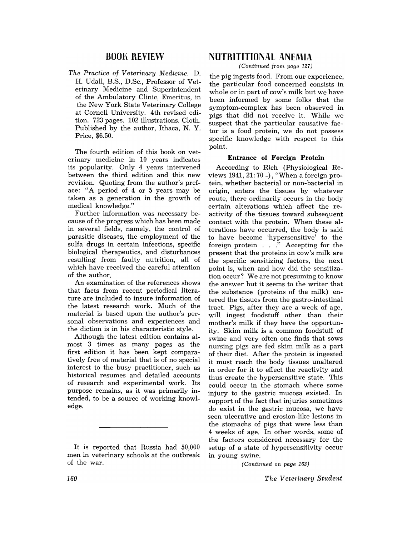## BOOK REVIEW

*The Practice* of *Veterinary Medicine.* D. H. Udall, B.S., D.Sc., Professor of Veterinary Medicine and Superintendent of the Ambulatory Clinic, Emeritus, in the New York State Veterinary College at Cornell University. 4th revised edition. 723 pages. 102 illustrations. Cloth. Published by the author, Ithaca, N. Y. Price, \$6.50.

The fourth edition of this book on veterinary medicine in  $10$  years indicates its popularity. Only 4 years intervened between the third edition and this new revision. Quoting from the author's preface: "A period of 4 or 5 years may be taken as a generation in the growth of medical knowledge."

Further information was necessary because of the progress which has been made in several fields, namely, the control of parasitic diseases, the employment of the sulfa drugs in certain infections, specific biological therapeutics, and disturbances resulting from faulty nutrition, all of which have received the careful attention of the author.

An examination of the references shows that facts from recent periodical literature are included to insure information of the latest research work. Much of the material is based upon the author's personal observations and experiences and the diction is in his characteristic style.

Although the latest edition contains almost 3 times as many pages as the first edition it has been kept comparatively free of material that is of no special interest to the busy practitioner, such as historical resumes and detailed accounts of research and experimental work. Its purpose remains, as it was primarily intended, to be a source of working knowledge.

## NUTRITITIONAl ANEMIA

*(Continued from page* 127)

the pig ingests food. From our experience, the particular food concerned consists in whole or in part of cow's milk but we have been informed by some folks that the symptom-complex has been observed in pigs that did not receive it. While we suspect that the particular causative factor is a food protein, we do not possess specific knowledge with respect to this point.

## Entrance of Foreign Protein

According to Rich (Physiological Reviews 1941, 21: 70 -), "When a foreign protein, whether bacterial or non-bacterial in origin, enters the tissues by whatever route, there ordinarily occurs in the body certain alterations which affect the reactivity of the tissues toward subsequent contact with the protein. When these alterations have occurred, the body is said to have become 'hypersensitive' to the foreign protein . . ." Accepting for the present that the proteins in cow's milk are the specific sensitizing factors, the next point is, when and how did the sensitization occur? We are not presuming to know the answer but it seems to the writer that the substance (proteins of the milk) entered the tissues from the gastro-intestinal tract. Pigs, after they are a week of age, will ingest foodstuff other than their mother's milk if they have the opportunity. Skim milk is a common foodstuff of swine and very often one finds that sows nursing pigs are fed skim milk as a part of their diet. After the protein is ingested it must reach the body tissues unaltered in order for it to effect the reactivity and thus create the hypersensitive state. This could occur in the stomach where some injury to the gastric mucosa existed. In support of the fact that injuries sometimes do exist in the gastric mucosa, we have seen ulcerative and erosion-like lesions in the stomachs of pigs that were less than 4 weeks of age. In other words, some of the factors considered necessary for the setup of a state of hypersensitivity occur in young swine.

*(Continued on page 163)* 

It is reported that Russia had 50,000 men in veterinary schools at the outbreak of the war.